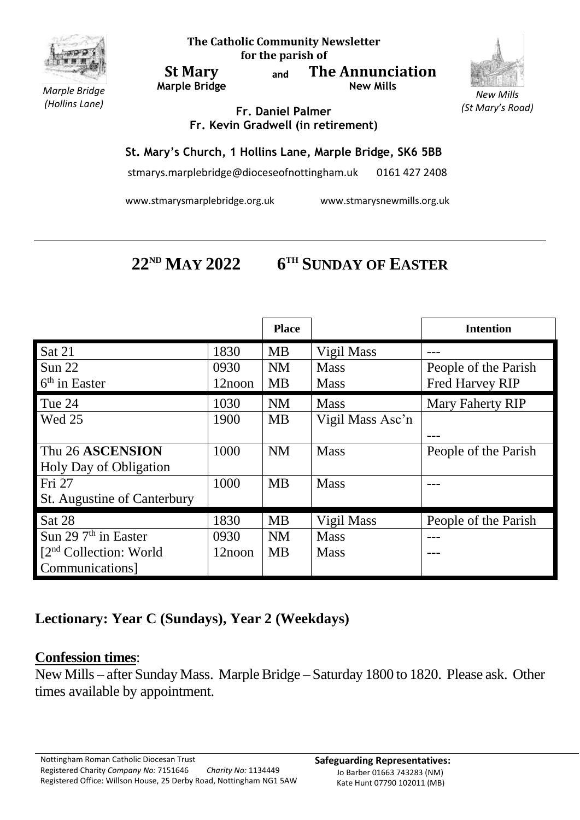

**The Catholic Community Newsletter for the parish of**

**St Mary Marple Bridge** **and The Annunciation New Mills**



*New Mills (St Mary's Road)*

*Marple Bridge (Hollins Lane)*

**Fr. Daniel Palmer Fr. Kevin Gradwell (in retirement)**

## **St. Mary's Church, 1 Hollins Lane, Marple Bridge, SK6 5BB**

stmarys.marplebridge@dioceseofnottingham.uk 0161 427 2408

www.stmarysmarplebridge.org.uk www.stmarysnewmills.org.uk

## **22ND MAY 2022 6 TH SUNDAY OF EASTER**

|                                     |        | <b>Place</b> |                  | <b>Intention</b>        |
|-------------------------------------|--------|--------------|------------------|-------------------------|
| Sat 21                              | 1830   | <b>MB</b>    | Vigil Mass       |                         |
| Sun 22                              | 0930   | <b>NM</b>    | <b>Mass</b>      | People of the Parish    |
| $6th$ in Easter                     | 12noon | <b>MB</b>    | <b>Mass</b>      | <b>Fred Harvey RIP</b>  |
| Tue 24                              | 1030   | <b>NM</b>    | <b>Mass</b>      | <b>Mary Faherty RIP</b> |
| Wed 25                              | 1900   | <b>MB</b>    | Vigil Mass Asc'n |                         |
|                                     |        |              |                  |                         |
| Thu 26 ASCENSION                    | 1000   | <b>NM</b>    | <b>Mass</b>      | People of the Parish    |
| Holy Day of Obligation              |        |              |                  |                         |
| Fri 27                              | 1000   | <b>MB</b>    | <b>Mass</b>      |                         |
| St. Augustine of Canterbury         |        |              |                  |                         |
| Sat 28                              | 1830   | <b>MB</b>    | Vigil Mass       | People of the Parish    |
| Sun 29 $7th$ in Easter              | 0930   | <b>NM</b>    | <b>Mass</b>      |                         |
| [2 <sup>nd</sup> Collection: World] | 12noon | <b>MB</b>    | <b>Mass</b>      |                         |
| Communications]                     |        |              |                  |                         |

## **Lectionary: Year C (Sundays), Year 2 (Weekdays)**

## **Confession times**:

New Mills – after Sunday Mass. Marple Bridge – Saturday 1800 to 1820. Please ask. Other times available by appointment.